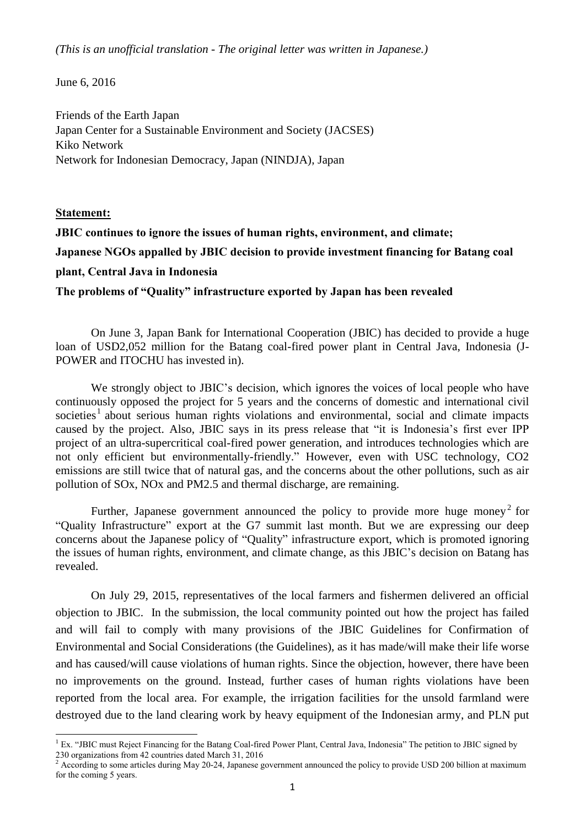*(This is an unofficial translation - The original letter was written in Japanese.)*

June 6, 2016

Friends of the Earth Japan Japan Center for a Sustainable Environment and Society (JACSES) Kiko Network Network for Indonesian Democracy, Japan (NINDJA), Japan

## **Statement:**

**JBIC continues to ignore the issues of human rights, environment, and climate; Japanese NGOs appalled by JBIC decision to provide investment financing for Batang coal plant, Central Java in Indonesia**

**The problems of "Quality" infrastructure exported by Japan has been revealed**

On June 3, Japan Bank for International Cooperation (JBIC) has decided to provide a huge loan of USD2,052 million for the Batang coal-fired power plant in Central Java, Indonesia (J-POWER and ITOCHU has invested in).

We strongly object to JBIC's decision, which ignores the voices of local people who have continuously opposed the project for 5 years and the concerns of domestic and international civil societies<sup>1</sup> about serious human rights violations and environmental, social and climate impacts caused by the project. Also, JBIC says in its press release that "it is Indonesia's first ever IPP project of an ultra-supercritical coal-fired power generation, and introduces technologies which are not only efficient but environmentally-friendly." However, even with USC technology, CO2 emissions are still twice that of natural gas, and the concerns about the other pollutions, such as air pollution of SOx, NOx and PM2.5 and thermal discharge, are remaining.

Further, Japanese government announced the policy to provide more huge money<sup>2</sup> for "Quality Infrastructure" export at the G7 summit last month. But we are expressing our deep concerns about the Japanese policy of "Quality" infrastructure export, which is promoted ignoring the issues of human rights, environment, and climate change, as this JBIC's decision on Batang has revealed.

On July 29, 2015, representatives of the local farmers and fishermen delivered an official objection to JBIC. In the submission, the local community pointed out how the project has failed and will fail to comply with many provisions of the JBIC Guidelines for Confirmation of Environmental and Social Considerations (the Guidelines), as it has made/will make their life worse and has caused/will cause violations of human rights. Since the objection, however, there have been no improvements on the ground. Instead, further cases of human rights violations have been reported from the local area. For example, the irrigation facilities for the unsold farmland were destroyed due to the land clearing work by heavy equipment of the Indonesian army, and PLN put

**<sup>.</sup>**  $<sup>1</sup>$  Ex. "JBIC must Reject Financing for the Batang Coal-fired Power Plant, Central Java, Indonesia" The petition to JBIC signed by</sup> 230 organizations from 42 countries dated March 31, 2016

<sup>&</sup>lt;sup>2</sup> According to some articles during May 20-24, Japanese government announced the policy to provide USD 200 billion at maximum for the coming 5 years.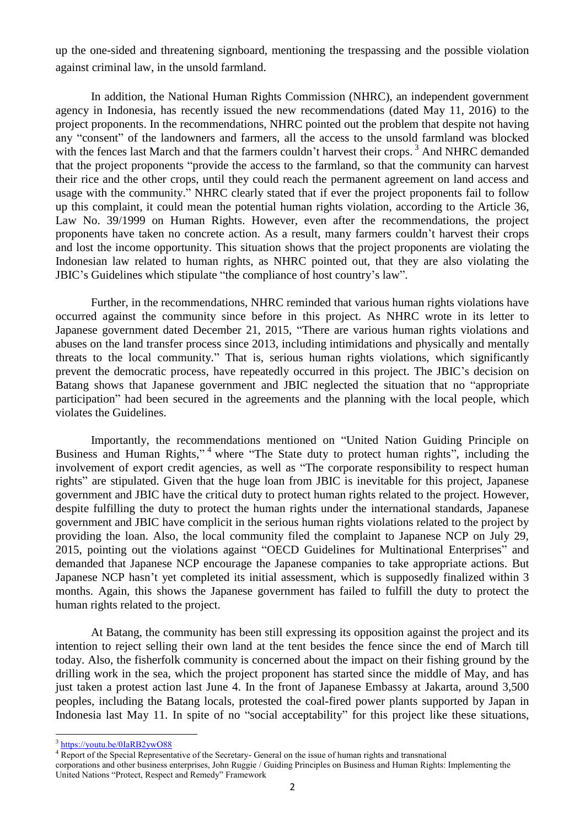up the one-sided and threatening signboard, mentioning the trespassing and the possible violation against criminal law, in the unsold farmland.

In addition, the National Human Rights Commission (NHRC), an independent government agency in Indonesia, has recently issued the new recommendations (dated May 11, 2016) to the project proponents. In the recommendations, NHRC pointed out the problem that despite not having any "consent" of the landowners and farmers, all the access to the unsold farmland was blocked with the fences last March and that the farmers couldn't harvest their crops.<sup>3</sup> And NHRC demanded that the project proponents "provide the access to the farmland, so that the community can harvest their rice and the other crops, until they could reach the permanent agreement on land access and usage with the community." NHRC clearly stated that if ever the project proponents fail to follow up this complaint, it could mean the potential human rights violation, according to the Article 36, Law No. 39/1999 on Human Rights. However, even after the recommendations, the project proponents have taken no concrete action. As a result, many farmers couldn't harvest their crops and lost the income opportunity. This situation shows that the project proponents are violating the Indonesian law related to human rights, as NHRC pointed out, that they are also violating the JBIC's Guidelines which stipulate "the compliance of host country's law".

Further, in the recommendations, NHRC reminded that various human rights violations have occurred against the community since before in this project. As NHRC wrote in its letter to Japanese government dated December 21, 2015, "There are various human rights violations and abuses on the land transfer process since 2013, including intimidations and physically and mentally threats to the local community." That is, serious human rights violations, which significantly prevent the democratic process, have repeatedly occurred in this project. The JBIC's decision on Batang shows that Japanese government and JBIC neglected the situation that no "appropriate participation" had been secured in the agreements and the planning with the local people, which violates the Guidelines.

Importantly, the recommendations mentioned on "United Nation Guiding Principle on Business and Human Rights,"<sup>4</sup> where "The State duty to protect human rights", including the involvement of export credit agencies, as well as "The corporate responsibility to respect human rights" are stipulated. Given that the huge loan from JBIC is inevitable for this project, Japanese government and JBIC have the critical duty to protect human rights related to the project. However, despite fulfilling the duty to protect the human rights under the international standards, Japanese government and JBIC have complicit in the serious human rights violations related to the project by providing the loan. Also, the local community filed the complaint to Japanese NCP on July 29, 2015, pointing out the violations against "OECD Guidelines for Multinational Enterprises" and demanded that Japanese NCP encourage the Japanese companies to take appropriate actions. But Japanese NCP hasn't yet completed its initial assessment, which is supposedly finalized within 3 months. Again, this shows the Japanese government has failed to fulfill the duty to protect the human rights related to the project.

At Batang, the community has been still expressing its opposition against the project and its intention to reject selling their own land at the tent besides the fence since the end of March till today. Also, the fisherfolk community is concerned about the impact on their fishing ground by the drilling work in the sea, which the project proponent has started since the middle of May, and has just taken a protest action last June 4. In the front of Japanese Embassy at Jakarta, around 3,500 peoples, including the Batang locals, protested the coal-fired power plants supported by Japan in Indonesia last May 11. In spite of no "social acceptability" for this project like these situations,

**<sup>.</sup>** <sup>3</sup> <https://youtu.be/0IaRB2ywO88>

<sup>4</sup> Report of the Special Representative of the Secretary- General on the issue of human rights and transnational

corporations and other business enterprises, John Ruggie / Guiding Principles on Business and Human Rights: Implementing the United Nations "Protect, Respect and Remedy" Framework